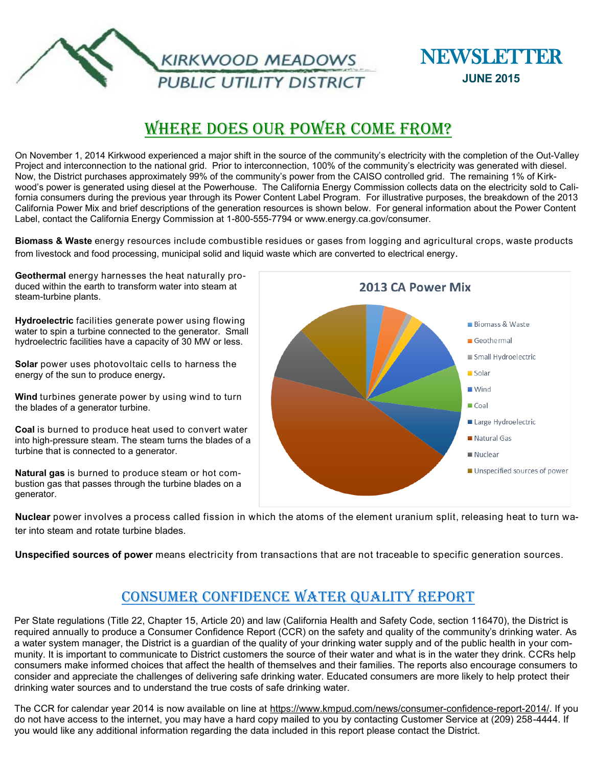



# Where Does Our Power Come From?

On November 1, 2014 Kirkwood experienced a major shift in the source of the community's electricity with the completion of the Out-Valley Project and interconnection to the national grid. Prior to interconnection, 100% of the community's electricity was generated with diesel. Now, the District purchases approximately 99% of the community's power from the CAISO controlled grid. The remaining 1% of Kirkwood's power is generated using diesel at the Powerhouse. The California Energy Commission collects data on the electricity sold to California consumers during the previous year through its Power Content Label Program. For illustrative purposes, the breakdown of the 2013 California Power Mix and brief descriptions of the generation resources is shown below. For general information about the Power Content Label, contact the California Energy Commission at 1-800-555-7794 or www.energy.ca.gov/consumer.

**Biomass & Waste** energy resources include combustible residues or gases from logging and agricultural crops, waste products from livestock and food processing, municipal solid and liquid waste which are converted to electrical energy.

**Geothermal** energy harnesses the heat naturally produced within the earth to transform water into steam at steam-turbine plants.

**Hydroelectric** facilities generate power using flowing water to spin a turbine connected to the generator. Small hydroelectric facilities have a capacity of 30 MW or less.

**Solar** power uses photovoltaic cells to harness the energy of the sun to produce energy**.**

**Wind** turbines generate power by using wind to turn the blades of a generator turbine.

**Coal** is burned to produce heat used to convert water into high-pressure steam. The steam turns the blades of a turbine that is connected to a generator.

**Natural gas** is burned to produce steam or hot combustion gas that passes through the turbine blades on a generator.



**Nuclear** power involves a process called fission in which the atoms of the element uranium split, releasing heat to turn water into steam and rotate turbine blades.

**Unspecified sources of power** means electricity from transactions that are not traceable to specific generation sources.

### Consumer Confidence Water Quality Report

Per State regulations (Title 22, Chapter 15, Article 20) and law (California Health and Safety Code, section 116470), the District is required annually to produce a Consumer Confidence Report (CCR) on the safety and quality of the community's drinking water. As a water system manager, the District is a guardian of the quality of your drinking water supply and of the public health in your community. It is important to communicate to District customers the source of their water and what is in the water they drink. CCRs help consumers make informed choices that affect the health of themselves and their families. The reports also encourage consumers to consider and appreciate the challenges of delivering safe drinking water. Educated consumers are more likely to help protect their drinking water sources and to understand the true costs of safe drinking water.

The CCR for calendar year 2014 is now available on line at [https://www.kmpud.com/news/consumer](https://www.kmpud.com/news/consumer-confidence-report-2014/)-confidence-report-2014/. If you do not have access to the internet, you may have a hard copy mailed to you by contacting Customer Service at (209) 258-4444. If you would like any additional information regarding the data included in this report please contact the District.